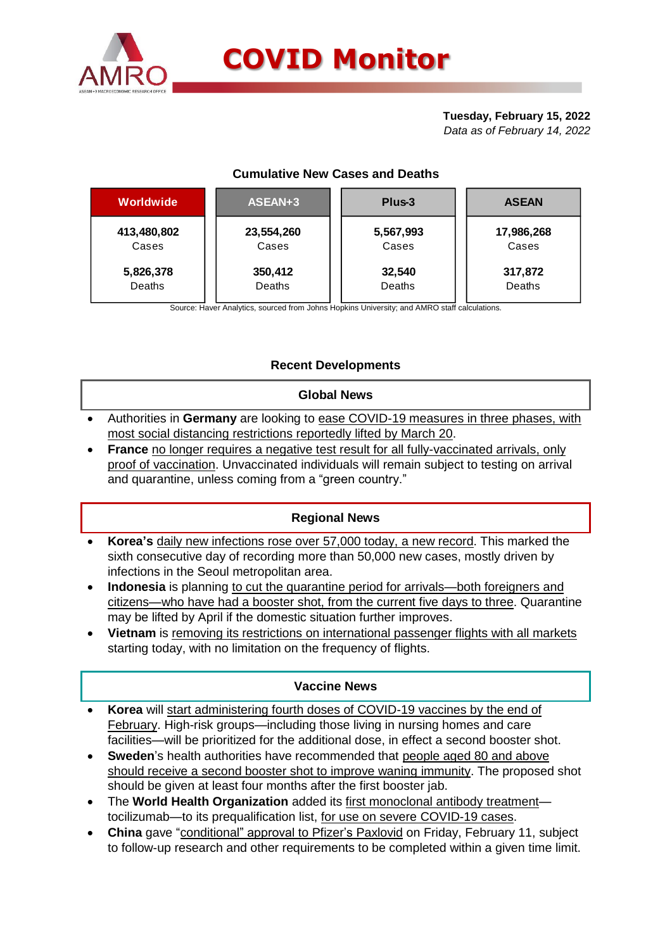

# **Tuesday, February 15, 2022**

*Data as of February 14, 2022*

# **Cumulative New Cases and Deaths**

| Worldwide   | ASEAN+3       | Plus-3    | <b>ASEAN</b> |  |  |
|-------------|---------------|-----------|--------------|--|--|
| 413,480,802 | 23,554,260    | 5,567,993 | 17,986,268   |  |  |
| Cases       | Cases         | Cases     | Cases        |  |  |
| 5,826,378   | 350,412       | 32,540    | 317,872      |  |  |
| Deaths      | <b>Deaths</b> | Deaths    | Deaths       |  |  |

Source: Haver Analytics, sourced from Johns Hopkins University; and AMRO staff calculations.

# **Recent Developments**

#### **Global News**

- Authorities in **Germany** are looking to ease COVID-19 measures in three phases, with most social distancing restrictions reportedly lifted by March 20.
- **France** no longer requires a negative test result for all fully-vaccinated arrivals, only proof of vaccination. Unvaccinated individuals will remain subject to testing on arrival and quarantine, unless coming from a "green country."

# **Regional News**

- **Korea's** daily new infections rose over 57,000 today, a new record. This marked the sixth consecutive day of recording more than 50,000 new cases, mostly driven by infections in the Seoul metropolitan area.
- **Indonesia** is planning to cut the quarantine period for arrivals—both foreigners and citizens—who have had a booster shot, from the current five days to three. Quarantine may be lifted by April if the domestic situation further improves.
- **Vietnam** is removing its restrictions on international passenger flights with all markets starting today, with no limitation on the frequency of flights.

## **Vaccine News**

- **Korea** will start administering fourth doses of COVID-19 vaccines by the end of February. High-risk groups—including those living in nursing homes and care facilities—will be prioritized for the additional dose, in effect a second booster shot.
- **Sweden**'s health authorities have recommended that people aged 80 and above should receive a second booster shot to improve waning immunity. The proposed shot should be given at least four months after the first booster jab.
- The **World Health Organization** added its first monoclonal antibody treatment tocilizumab—to its prequalification list, for use on severe COVID-19 cases.
- **China** gave "conditional" approval to Pfizer's Paxlovid on Friday, February 11, subject to follow-up research and other requirements to be completed within a given time limit.